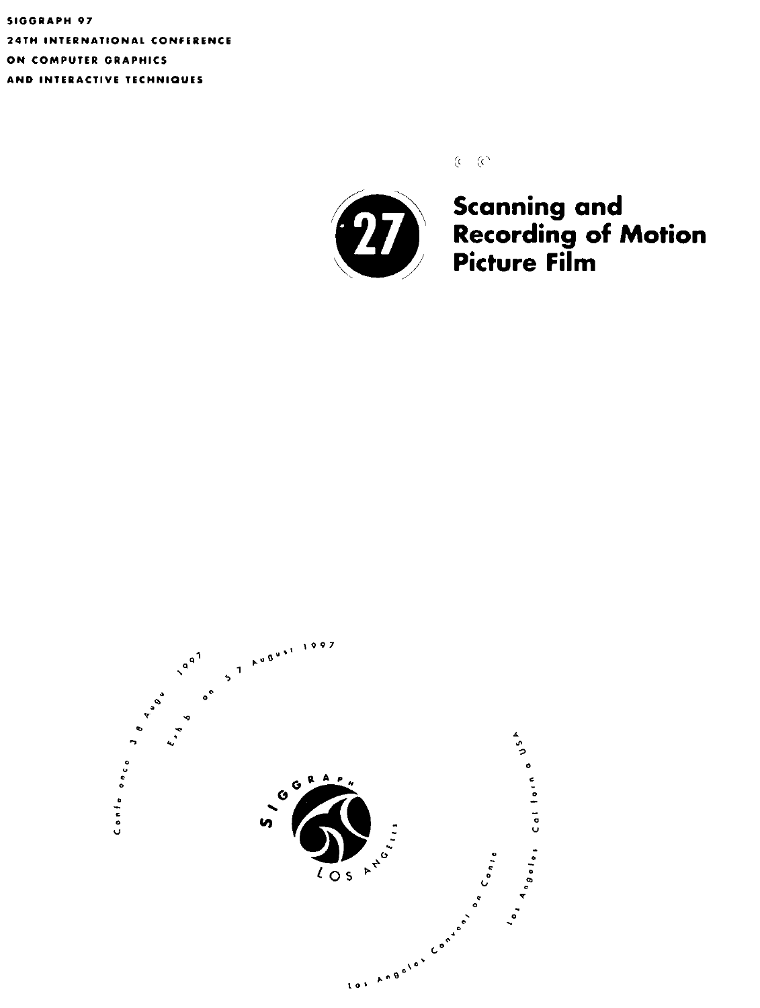**SIGGRAPH 97 24TH INTERNATIONAL CONFERENCE**  ON COMPUTER GRAPHICS **AND INTERACTIVE TECHNIQUES** 

 $(c - c)$ 



**Scanning and Recording of Motion Picture Film** 

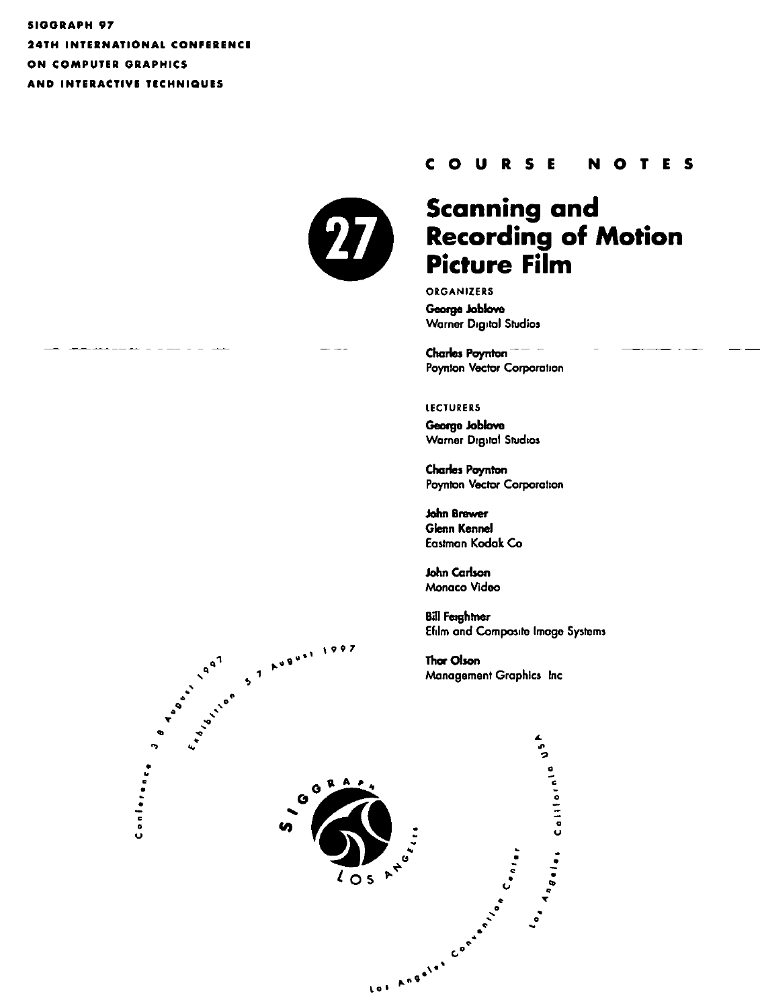SIGGRAPH 97 **24TH INTERNATIONAL CONFERENCE** ON COMPUTER GRAPHICS AND INTERACTIVE TECHNIQUES



#### **COURSE** TES N  $\bullet$

# **Scanning and Recording of Motion Picture Film**

ORGANIZERS George Joblove **Warner Digital Studios** 

Charles Poynton Poynton Vector Corporation

#### **LECTURERS**

George Joblove **Warner Digital Studios** 

**Charles Poynton** Poynton Vector Corporation

John Brewer **Glenn Kennel** Eastman Kodak Co

**John Carlson** Monaco Video

**Bill Feightner** Efilm and Composite Image Systems

Thor Olson Management Graphics Inc



AUBUST 1997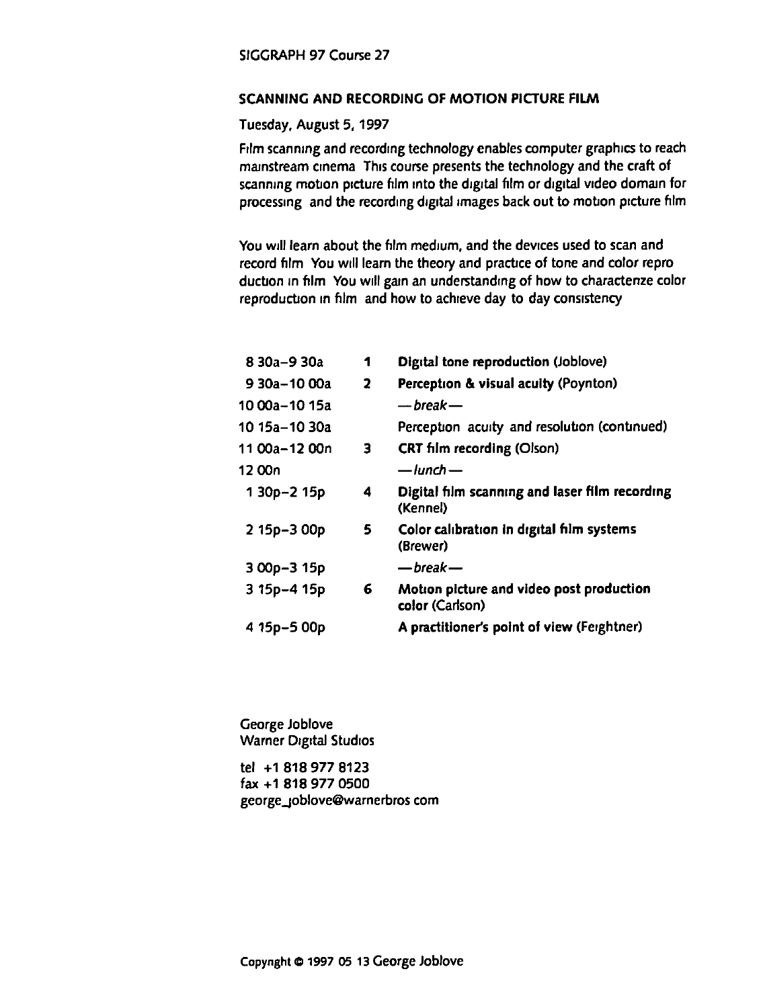## SCANNING AND RECORDING OF MOTION PICTURE FILM

## Tuesday, August 5, 1997

Film scanning and recording technology enables computer graphics to reach mainstream cinema. This course presents the technology and the craft of scanning motion picture film into the digital film or digital video domain for processing and the recording digital images back out to motion picture film

You will learn about the film medium, and the devices used to scan and record film You will learn the theory and practice of tone and color reproduction in film You will gain an understanding of how to charactenze color reproduction in film and how to achieve day to day consistency

| 8 30a-9 30a    | 1 | Digital tone reproduction (Joblove)                         |
|----------------|---|-------------------------------------------------------------|
| 9 30a - 10 00a | 2 | Perception & visual acuity (Poynton)                        |
| 10 00a–10 15a  |   | — break —                                                   |
| 10 15a–10 30a  |   | Perception acuity and resolution (continued)                |
| 11 00a-12 00n  | 3 | CRT film recording (Olson)                                  |
| 12 00n         |   | — lunch —                                                   |
| 1 30p-2 15p    | 4 | Digital film scanning and laser film recording<br>(Kennel)  |
| 2 15p-3 00p    | 5 | Color calibration in digital film systems<br>(Brewer)       |
| $300p - 315p$  |   | — break —                                                   |
| 3 15p-4 15p    | 6 | Motion picture and video post production<br>color (Carlson) |
| 4 15p-5 00p    |   | A practitioner's point of view (Feightner)                  |
|                |   |                                                             |

George Joblove Warner Drgrtal Studros

tel +1 818 977 8123 fax +1 818 977 0500 george\_Joblove@warnerbros com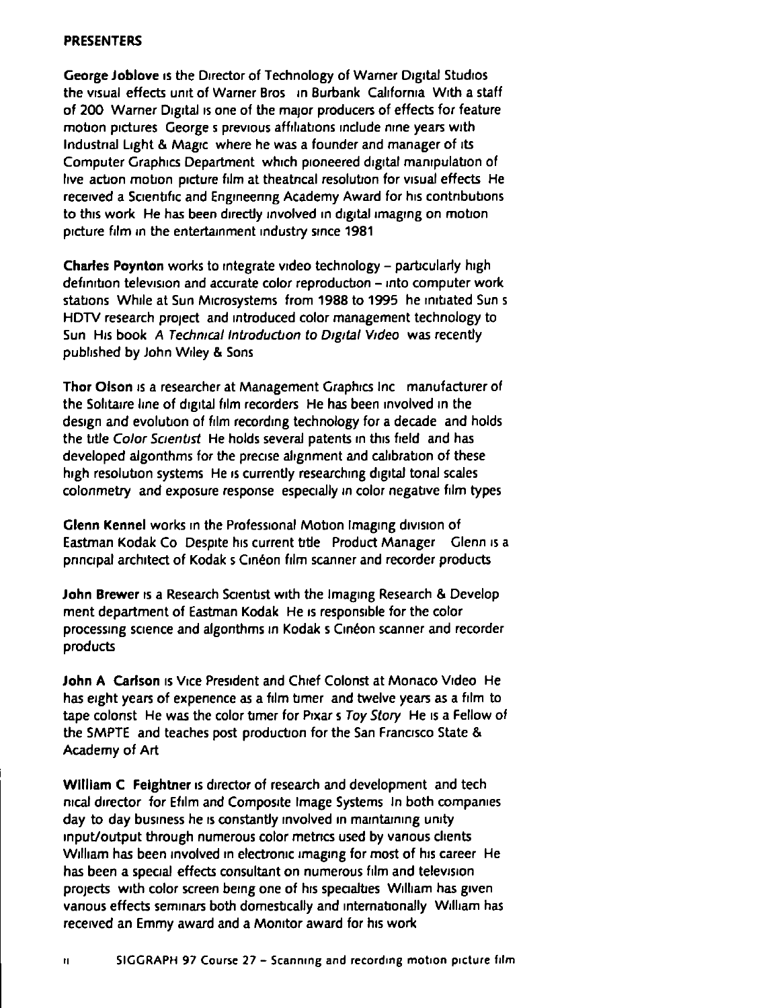#### PRESENTERS

George Joblove is the Director of Technology of Warner Digital Studios the visual effects unit of Warner Bros in Burbank California With a staff of 200 Warner Digital is one of the major producers of effects for feature motion pictures George s previous affiliations include nine years with Industnal Light & Magic where he was a founder and manager of its Computer Graphics Department which pioneered digital manipulation of hve action motion picture film at theatncal resolution for visual effects He received a Scientific and Engineenng Academy Award for his contributions to this work. He has been directly involved in digital imaging on motion. picture film in the entertainment industry since 1981

Charles Poynton works to integrate video technology - particularly high definition television and accurate color reproduction - into computer work stations While at Sun Microsystems from 1988 to 1995 he initiated Sun s HDTV research project and introduced color management technology to Sun His book A Technical Introduction to Digital Video was recently pubhshed by John W1ley & Sons

Thor Olson is a researcher at Management Graphics Inc manufacturer of the Sohtaire line of digital film recorders. He has been involved in the design and evolution of film recording technology for a decade and holds the title Color Scientist He holds several patents in this field and has developed algonthms for the precise alignment and calibration of these high resolution systems He is currently researching digital tonal scales colonmetry and exposure response especially in color negative film types

Glenn Kennel works in the Professional Motion Imaging division of Eastman Kodak Co Despite his current title Product Manager Glenn is a pnncipal architect of Kodak s Cinéon film scanner and recorder products

John Brewer is a Research Scientist with the Imaging Research & Develop ment department of Eastman Kodak He IS responsible for the color processing science and algonthms in Kodak s Cinéon scanner and recorder products

John A Carlson is Vice President and Chief Colonst at Monaco Video He has eight years of expenence as a film timer and twelve years as a film to tape colonst He was the color timer for Pixar s Toy Story He is a Fellow of the SMPTE and teaches post production for the San Francisco State & Academy of Art

William C Feightner is director of research and development and tech nical director for Efilm and Composite Image Systems In both companies day to day business he is constantly involved in maintaining unity input/output through numerous color metrics used by vanous clients William has been involved in electronic imaging for most of his career He has been a special effects consultant on numerous film and television projects with color screen being one of his speaalties William has given vanous effects seminars both domestically and internationally William has received an Emmy award and a Monitor award for his work